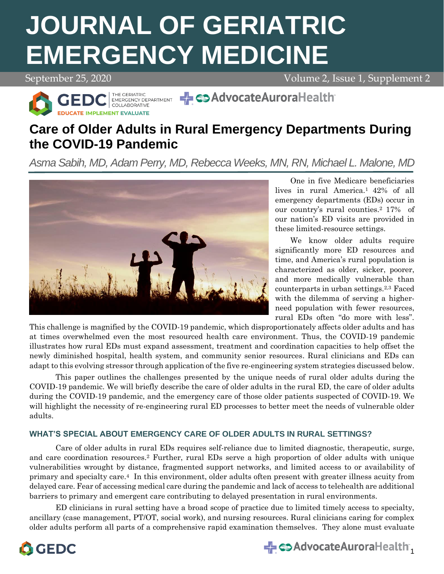# **JOURNAL OF GERIATRIC EMERGENCY MEDICINE**

September 25, 2020 Volume 2, Issue 1, Supplement 2



## **Care of Older Adults in Rural Emergency Departments During the COVID-19 Pandemic**

*Asma Sabih, MD, Adam Perry, MD, Rebecca Weeks, MN, RN, Michael L. Malone, MD*



One in five Medicare beneficiaries lives in rural America.1 42% of all emergency departments (EDs) occur in our country's rural counties.<sup>2</sup> 17% of our nation's ED visits are provided in these limited-resource settings.

We know older adults require significantly more ED resources and time, and America's rural population is characterized as older, sicker, poorer, and more medically vulnerable than counterparts in urban settings.2,3 Faced with the dilemma of serving a higherneed population with fewer resources, rural EDs often "do more with less".

This challenge is magnified by the COVID-19 pandemic, which disproportionately affects older adults and has at times overwhelmed even the most resourced health care environment. Thus, the COVID-19 pandemic illustrates how rural EDs must expand assessment, treatment and coordination capacities to help offset the newly diminished hospital, health system, and community senior resources. Rural clinicians and EDs can adapt to this evolving stressor through application of the five re-engineering system strategies discussed below.

This paper outlines the challenges presented by the unique needs of rural older adults during the COVID-19 pandemic. We will briefly describe the care of older adults in the rural ED, the care of older adults during the COVID-19 pandemic, and the emergency care of those older patients suspected of COVID-19. We will highlight the necessity of re-engineering rural ED processes to better meet the needs of vulnerable older adults.

### **WHAT'S SPECIAL ABOUT EMERGENCY CARE OF OLDER ADULTS IN RURAL SETTINGS?**

Care of older adults in rural EDs requires self-reliance due to limited diagnostic, therapeutic, surge, and care coordination resources.<sup>2</sup> Further, rural EDs serve a high proportion of older adults with unique vulnerabilities wrought by distance, fragmented support networks, and limited access to or availability of primary and specialty care.4 In this environment, older adults often present with greater illness acuity from delayed care. Fear of accessing medical care during the pandemic and lack of access to telehealth are additional barriers to primary and emergent care contributing to delayed presentation in rural environments.

ED clinicians in rural setting have a broad scope of practice due to limited timely access to specialty, ancillary (case management, PT/OT, social work), and nursing resources. Rural clinicians caring for complex older adults perform all parts of a comprehensive rapid examination themselves. They alone must evaluate



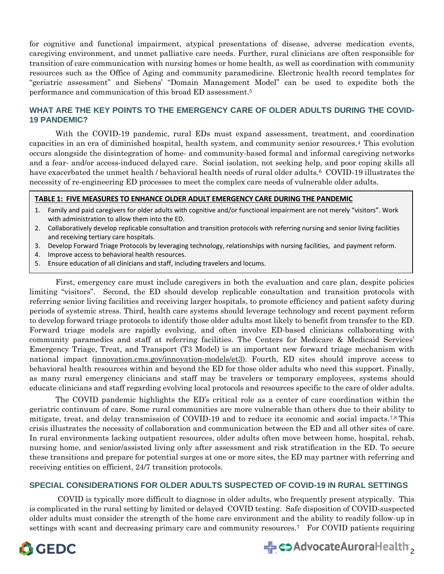for cognitive and functional impairment, atypical presentations of disease, adverse medication events, caregiving environment, and unmet palliative care needs. Further, rural clinicians are often responsible for transition of care communication with nursing homes or home health, as well as coordination with community resources such as the Office of Aging and community paramedicine. Electronic health record templates for "geriatric assessment" and Siebens' "Domain Management Model" can be used to expedite both the performance and communication of this broad ED assessment. 5

#### **WHAT ARE THE KEY POINTS TO THE EMERGENCY CARE OF OLDER ADULTS DURING THE COVID-19 PANDEMIC?**

With the COVID-19 pandemic, rural EDs must expand assessment, treatment, and coordination capacities in an era of diminished hospital, health system, and community senior resources.<sup>4</sup> This evolution occurs alongside the disintegration of home- and community-based formal and informal caregiving networks and a fear- and/or access-induced delayed care. Social isolation, not seeking help, and poor coping skills all have exacerbated the unmet health / behavioral health needs of rural older adults.<sup>6</sup> COVID-19 illustrates the necessity of re-engineering ED processes to meet the complex care needs of vulnerable older adults.

#### **TABLE 1: FIVE MEASURES TO ENHANCE OLDER ADULT EMERGENCY CARE DURING THE PANDEMIC**

- 1. Family and paid caregivers for older adults with cognitive and/or functional impairment are not merely "visitors". Work with administration to allow them into the ED.
- 2. Collaboratively develop replicable consultation and transition protocols with referring nursing and senior living facilities and receiving tertiary care hospitals.
- 3. Develop Forward Triage Protocols by leveraging technology, relationships with nursing facilities, and payment reform.
- 4. Improve access to behavioral health resources.
- 5. Ensure education of all clinicians and staff, including travelers and locums.

First, emergency care must include caregivers in both the evaluation and care plan, despite policies limiting "visitors". Second, the ED should develop replicable consultation and transition protocols with referring senior living facilities and receiving larger hospitals, to promote efficiency and patient safety during periods of systemic stress. Third, health care systems should leverage technology and recent payment reform to develop forward triage protocols to identify those older adults most likely to benefit from transfer to the ED. Forward triage models are rapidly evolving, and often involve ED-based clinicians collaborating with community paramedics and staff at referring facilities. The Centers for Medicare & Medicaid Services' Emergency Triage, Treat, and Transport (T3 Model) is an important new forward triage mechanism with national impact (innovation.cms.gov/innovation-models/et3). Fourth, ED sites should improve access to behavioral health resources within and beyond the ED for those older adults who need this support. Finally, as many rural emergency clinicians and staff may be travelers or temporary employees, systems should educate clinicians and staff regarding evolving local protocols and resources specific to the care of older adults.

The COVID pandemic highlights the ED's critical role as a center of care coordination within the geriatric continuum of care. Some rural communities are more vulnerable than others due to their ability to mitigate, treat, and delay transmission of COVID-19 and to reduce its economic and social impacts.7,8 This crisis illustrates the necessity of collaboration and communication between the ED and all other sites of care. In rural environments lacking outpatient resources, older adults often move between home, hospital, rehab, nursing home, and senior/assisted living only after assessment and risk stratification in the ED. To secure these transitions and prepare for potential surges at one or more sites, the ED may partner with referring and receiving entities on efficient, 24/7 transition protocols.

#### **SPECIAL CONSIDERATIONS FOR OLDER ADULTS SUSPECTED OF COVID-19 IN RURAL SETTINGS**

COVID is typically more difficult to diagnose in older adults, who frequently present atypically. This is complicated in the rural setting by limited or delayed COVID testing. Safe disposition of COVID-suspected older adults must consider the strength of the home care environment and the ability to readily follow-up in settings with scant and decreasing primary care and community resources.7 For COVID patients requiring



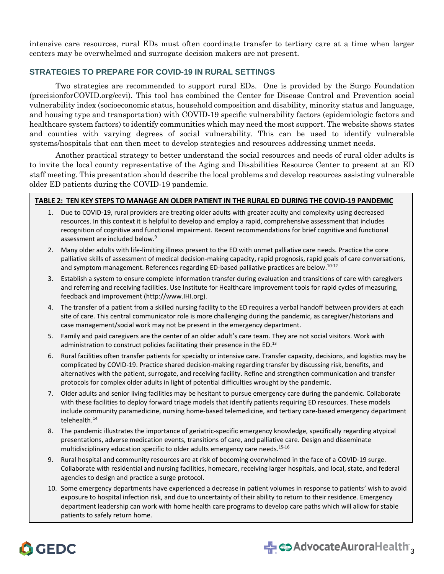intensive care resources, rural EDs must often coordinate transfer to tertiary care at a time when larger centers may be overwhelmed and surrogate decision makers are not present.

#### **STRATEGIES TO PREPARE FOR COVID-19 IN RURAL SETTINGS**

Two strategies are recommended to support rural EDs. One is provided by the Surgo Foundation (precisionforCOVID.org/ccvi). This tool has combined the Center for Disease Control and Prevention social vulnerability index (socioeconomic status, household composition and disability, minority status and language, and housing type and transportation) with COVID-19 specific vulnerability factors (epidemiologic factors and healthcare system factors) to identify communities which may need the most support. The website shows states and counties with varying degrees of social vulnerability. This can be used to identify vulnerable systems/hospitals that can then meet to develop strategies and resources addressing unmet needs.

Another practical strategy to better understand the social resources and needs of rural older adults is to invite the local county representative of the Aging and Disabilities Resource Center to present at an ED staff meeting. This presentation should describe the local problems and develop resources assisting vulnerable older ED patients during the COVID-19 pandemic.

#### **TABLE 2: TEN KEY STEPS TO MANAGE AN OLDER PATIENT IN THE RURAL ED DURING THE COVID-19 PANDEMIC**

- 1. Due to COVID-19, rural providers are treating older adults with greater acuity and complexity using decreased resources. In this context it is helpful to develop and employ a rapid, comprehensive assessment that includes recognition of cognitive and functional impairment. Recent recommendations for brief cognitive and functional assessment are included below.<sup>9</sup>
- 2. Many older adults with life-limiting illness present to the ED with unmet palliative care needs. Practice the core palliative skills of assessment of medical decision-making capacity, rapid prognosis, rapid goals of care conversations, and symptom management. References regarding ED-based palliative practices are below.<sup>10-12</sup>
- 3. Establish a system to ensure complete information transfer during evaluation and transitions of care with caregivers and referring and receiving facilities. Use Institute for Healthcare Improvement tools for rapid cycles of measuring, feedback and improvement (http://www.IHI.org).
- 4. The transfer of a patient from a skilled nursing facility to the ED requires a verbal handoff between providers at each site of care. This central communicator role is more challenging during the pandemic, as caregiver/historians and case management/social work may not be present in the emergency department.
- 5. Family and paid caregivers are the center of an older adult's care team. They are not social visitors. Work with administration to construct policies facilitating their presence in the ED.<sup>13</sup>
- 6. Rural facilities often transfer patients for specialty or intensive care. Transfer capacity, decisions, and logistics may be complicated by COVID-19. Practice shared decision-making regarding transfer by discussing risk, benefits, and alternatives with the patient, surrogate, and receiving facility. Refine and strengthen communication and transfer protocols for complex older adults in light of potential difficulties wrought by the pandemic.
- 7. Older adults and senior living facilities may be hesitant to pursue emergency care during the pandemic. Collaborate with these facilities to deploy forward triage models that identify patients requiring ED resources. These models include community paramedicine, nursing home-based telemedicine, and tertiary care-based emergency department telehealth. 14
- 8. The pandemic illustrates the importance of geriatric-specific emergency knowledge, specifically regarding atypical presentations, adverse medication events, transitions of care, and palliative care. Design and disseminate multidisciplinary education specific to older adults emergency care needs. 15-16
- 9. Rural hospital and community resources are at risk of becoming overwhelmed in the face of a COVID-19 surge. Collaborate with residential and nursing facilities, homecare, receiving larger hospitals, and local, state, and federal agencies to design and practice a surge protocol.
- 10. Some emergency departments have experienced a decrease in patient volumes in response to patients' wish to avoid exposure to hospital infection risk, and due to uncertainty of their ability to return to their residence. Emergency department leadership can work with home health care programs to develop care paths which will allow for stable patients to safely return home.